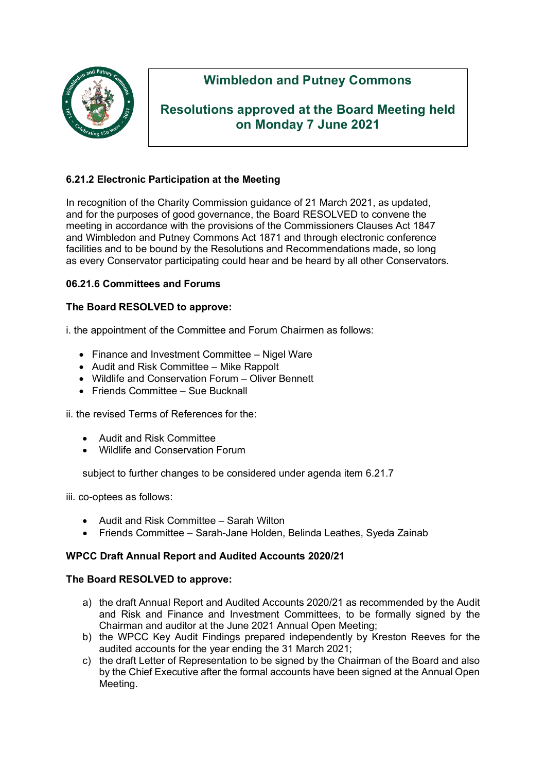

# **Wimbledon and Putney Commons**

# **Resolutions approved at the Board Meeting held on Monday 7 June 2021**

# **6.21.2 Electronic Participation at the Meeting**

In recognition of the Charity Commission guidance of 21 March 2021, as updated, and for the purposes of good governance, the Board RESOLVED to convene the meeting in accordance with the provisions of the Commissioners Clauses Act 1847 and Wimbledon and Putney Commons Act 1871 and through electronic conference facilities and to be bound by the Resolutions and Recommendations made, so long as every Conservator participating could hear and be heard by all other Conservators.

## **06.21.6 Committees and Forums**

#### **The Board RESOLVED to approve:**

i. the appointment of the Committee and Forum Chairmen as follows:

- Finance and Investment Committee Nigel Ware
- Audit and Risk Committee Mike Rappolt
- Wildlife and Conservation Forum Oliver Bennett
- Friends Committee Sue Bucknall

ii. the revised Terms of References for the:

- Audit and Risk Committee
- Wildlife and Conservation Forum

subject to further changes to be considered under agenda item 6.21.7

iii. co-optees as follows:

- Audit and Risk Committee Sarah Wilton
- Friends Committee Sarah-Jane Holden, Belinda Leathes, Syeda Zainab

## **WPCC Draft Annual Report and Audited Accounts 2020/21**

#### **The Board RESOLVED to approve:**

- a) the draft Annual Report and Audited Accounts 2020/21 as recommended by the Audit and Risk and Finance and Investment Committees, to be formally signed by the Chairman and auditor at the June 2021 Annual Open Meeting;
- b) the WPCC Key Audit Findings prepared independently by Kreston Reeves for the audited accounts for the year ending the 31 March 2021;
- c) the draft Letter of Representation to be signed by the Chairman of the Board and also by the Chief Executive after the formal accounts have been signed at the Annual Open Meeting.